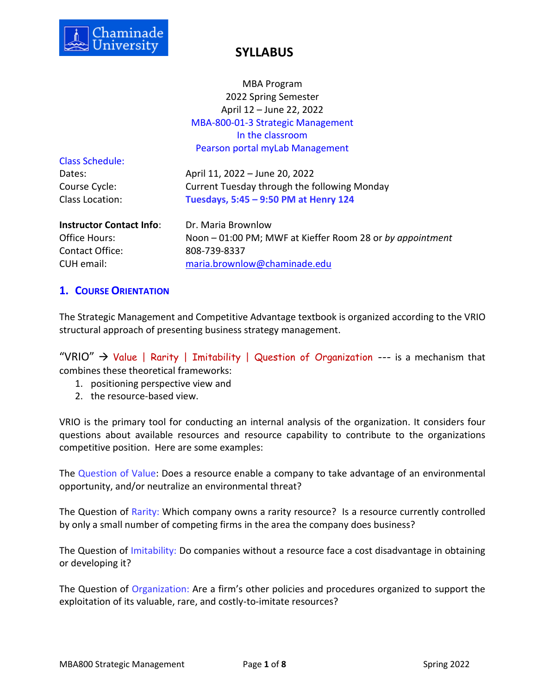

MBA Program 2022 Spring Semester April 12 – June 22, 2022 MBA-800-01-3 Strategic Management In the classroom Pearson portal myLab Management

Class Schedule:

Dates: April 11, 2022 – June 20, 2022 Course Cycle: Current Tuesday through the following Monday Class Location: **Tuesdays, 5:45 – 9:50 PM at Henry 124**

**Instructor Contact Info: Dr. Maria Brownlow** Contact Office: 808-739-8337

Office Hours: Noon – 01:00 PM; MWF at Kieffer Room 28 or *by appointment* CUH email: [maria.brownlow@chaminade.edu](mailto:maria.brownlow@chaminade.edu)

## **1. COURSE ORIENTATION**

The Strategic Management and Competitive Advantage textbook is organized according to the VRIO structural approach of presenting business strategy management.

"VRIO"  $\rightarrow$  Value | Rarity | Imitability | Question of Organization --- is a mechanism that combines these theoretical frameworks:

- 1. positioning perspective view and
- 2. the resource-based view.

VRIO is the primary tool for conducting an internal analysis of the organization. It considers four questions about available resources and resource capability to contribute to the organizations competitive position. Here are some examples:

The Question of Value: Does a resource enable a company to take advantage of an environmental opportunity, and/or neutralize an environmental threat?

The Question of Rarity: Which company owns a rarity resource? Is a resource currently controlled by only a small number of competing firms in the area the company does business?

The Question of Imitability: Do companies without a resource face a cost disadvantage in obtaining or developing it?

The Question of Organization: Are a firm's other policies and procedures organized to support the exploitation of its valuable, rare, and costly-to-imitate resources?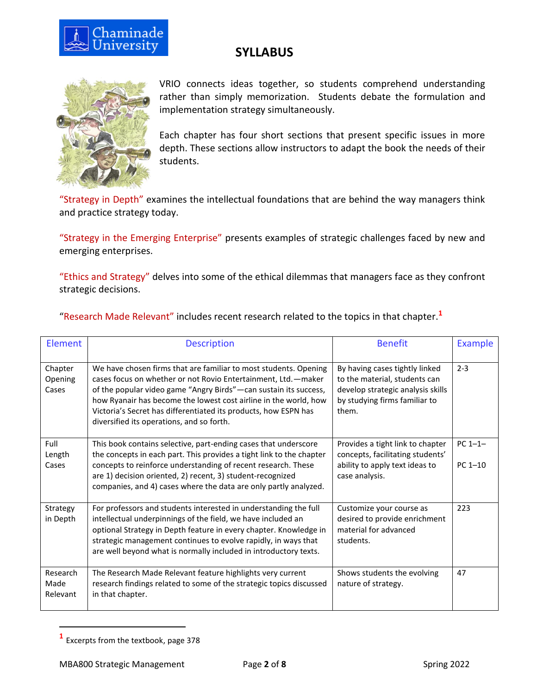



VRIO connects ideas together, so students comprehend understanding rather than simply memorization. Students debate the formulation and implementation strategy simultaneously.

Each chapter has four short sections that present specific issues in more depth. These sections allow instructors to adapt the book the needs of their students.

"Strategy in Depth" examines the intellectual foundations that are behind the way managers think and practice strategy today.

"Strategy in the Emerging Enterprise" presents examples of strategic challenges faced by new and emerging enterprises.

"Ethics and Strategy" delves into some of the ethical dilemmas that managers face as they confront strategic decisions.

| Element                      | <b>Description</b>                                                                                                                                                                                                                                                                                                                                                                          | <b>Benefit</b>                                                                                                                                 | Example                   |
|------------------------------|---------------------------------------------------------------------------------------------------------------------------------------------------------------------------------------------------------------------------------------------------------------------------------------------------------------------------------------------------------------------------------------------|------------------------------------------------------------------------------------------------------------------------------------------------|---------------------------|
| Chapter<br>Opening<br>Cases  | We have chosen firms that are familiar to most students. Opening<br>cases focus on whether or not Rovio Entertainment, Ltd. - maker<br>of the popular video game "Angry Birds"—can sustain its success,<br>how Ryanair has become the lowest cost airline in the world, how<br>Victoria's Secret has differentiated its products, how ESPN has<br>diversified its operations, and so forth. | By having cases tightly linked<br>to the material, students can<br>develop strategic analysis skills<br>by studying firms familiar to<br>them. | $2 - 3$                   |
| Full<br>Length<br>Cases      | This book contains selective, part-ending cases that underscore<br>the concepts in each part. This provides a tight link to the chapter<br>concepts to reinforce understanding of recent research. These<br>are 1) decision oriented, 2) recent, 3) student-recognized<br>companies, and 4) cases where the data are only partly analyzed.                                                  | Provides a tight link to chapter<br>concepts, facilitating students'<br>ability to apply text ideas to<br>case analysis.                       | $PC 1 - 1 -$<br>$PC 1-10$ |
| Strategy<br>in Depth         | For professors and students interested in understanding the full<br>intellectual underpinnings of the field, we have included an<br>optional Strategy in Depth feature in every chapter. Knowledge in<br>strategic management continues to evolve rapidly, in ways that<br>are well beyond what is normally included in introductory texts.                                                 | Customize your course as<br>desired to provide enrichment<br>material for advanced<br>students.                                                | 223                       |
| Research<br>Made<br>Relevant | The Research Made Relevant feature highlights very current<br>research findings related to some of the strategic topics discussed<br>in that chapter.                                                                                                                                                                                                                                       | Shows students the evolving<br>nature of strategy.                                                                                             | 47                        |

"Research Made Relevant" includes recent research related to the topics in that chapter.**<sup>1</sup>**

**<sup>1</sup>** Excerpts from the textbook, page 378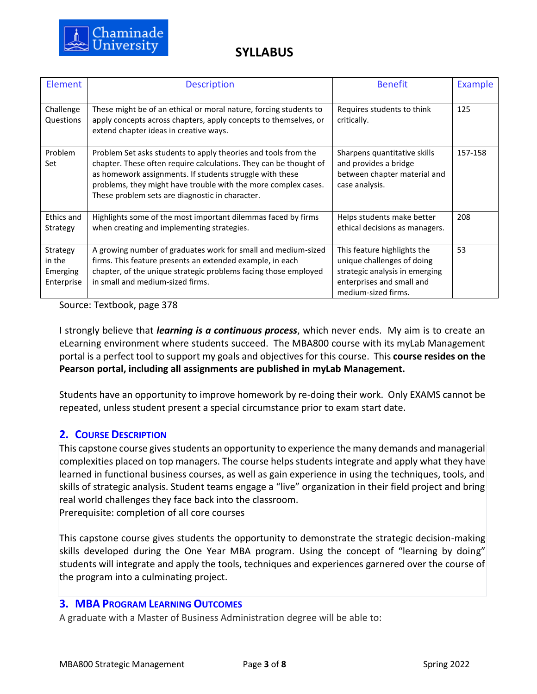

| Element                                      | <b>Description</b>                                                                                                                                                                                                                                                                                                   | <b>Benefit</b>                                                                                                                                  | Example |
|----------------------------------------------|----------------------------------------------------------------------------------------------------------------------------------------------------------------------------------------------------------------------------------------------------------------------------------------------------------------------|-------------------------------------------------------------------------------------------------------------------------------------------------|---------|
| Challenge<br>Questions                       | These might be of an ethical or moral nature, forcing students to<br>apply concepts across chapters, apply concepts to themselves, or<br>extend chapter ideas in creative ways.                                                                                                                                      | Requires students to think<br>critically.                                                                                                       | 125     |
| Problem<br>Set                               | Problem Set asks students to apply theories and tools from the<br>chapter. These often require calculations. They can be thought of<br>as homework assignments. If students struggle with these<br>problems, they might have trouble with the more complex cases.<br>These problem sets are diagnostic in character. | Sharpens quantitative skills<br>and provides a bridge<br>between chapter material and<br>case analysis.                                         | 157-158 |
| Ethics and<br>Strategy                       | Highlights some of the most important dilemmas faced by firms<br>when creating and implementing strategies.                                                                                                                                                                                                          | Helps students make better<br>ethical decisions as managers.                                                                                    | 208     |
| Strategy<br>in the<br>Emerging<br>Enterprise | A growing number of graduates work for small and medium-sized<br>firms. This feature presents an extended example, in each<br>chapter, of the unique strategic problems facing those employed<br>in small and medium-sized firms.                                                                                    | This feature highlights the<br>unique challenges of doing<br>strategic analysis in emerging<br>enterprises and small and<br>medium-sized firms. | 53      |

Source: Textbook, page 378

I strongly believe that *learning is a continuous process*, which never ends. My aim is to create an eLearning environment where students succeed. The MBA800 course with its myLab Management portal is a perfect tool to support my goals and objectives for this course. This **course resides on the Pearson portal, including all assignments are published in myLab Management.** 

Students have an opportunity to improve homework by re-doing their work. Only EXAMS cannot be repeated, unless student present a special circumstance prior to exam start date.

## **2. COURSE DESCRIPTION**

This capstone course gives students an opportunity to experience the many demands and managerial complexities placed on top managers. The course helps students integrate and apply what they have learned in functional business courses, as well as gain experience in using the techniques, tools, and skills of strategic analysis. Student teams engage a "live" organization in their field project and bring real world challenges they face back into the classroom.

Prerequisite: completion of all core courses

This capstone course gives students the opportunity to demonstrate the strategic decision-making skills developed during the One Year MBA program. Using the concept of "learning by doing" students will integrate and apply the tools, techniques and experiences garnered over the course of the program into a culminating project.

### **3. MBA PROGRAM LEARNING OUTCOMES**

A graduate with a Master of Business Administration degree will be able to: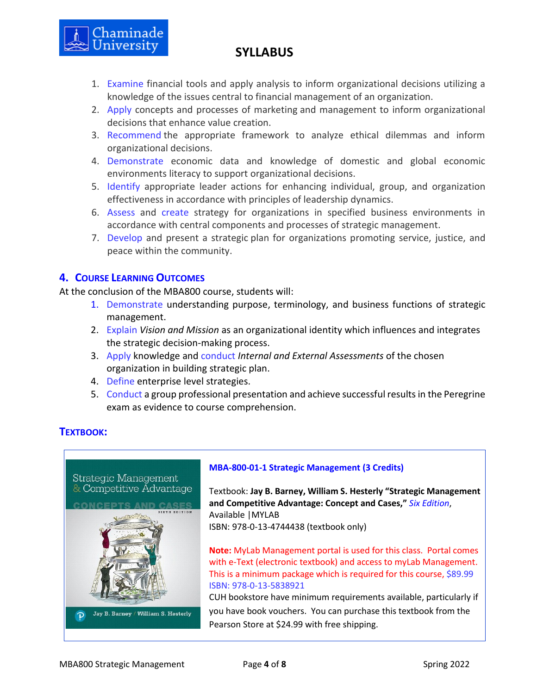

- 1. Examine financial tools and apply analysis to inform organizational decisions utilizing a knowledge of the issues central to financial management of an organization.
- 2. Apply concepts and processes of marketing and management to inform organizational decisions that enhance value creation.
- 3. Recommend the appropriate framework to analyze ethical dilemmas and inform organizational decisions.
- 4. Demonstrate economic data and knowledge of domestic and global economic environments literacy to support organizational decisions.
- 5. Identify appropriate leader actions for enhancing individual, group, and organization effectiveness in accordance with principles of leadership dynamics.
- 6. Assess and create strategy for organizations in specified business environments in accordance with central components and processes of strategic management.
- 7. Develop and present a strategic plan for organizations promoting service, justice, and peace within the community.

## **4. COURSE LEARNING OUTCOMES**

At the conclusion of the MBA800 course, students will:

- 1. Demonstrate understanding purpose, terminology, and business functions of strategic management.
- 2. Explain *Vision and Mission* as an organizational identity which influences and integrates the strategic decision-making process.
- 3. Apply knowledge and conduct *Internal and External Assessments* of the chosen organization in building strategic plan.
- 4. Define enterprise level strategies.
- 5. Conduct a group professional presentation and achieve successful results in the Peregrine exam as evidence to course comprehension.

# **TEXTBOOK:**

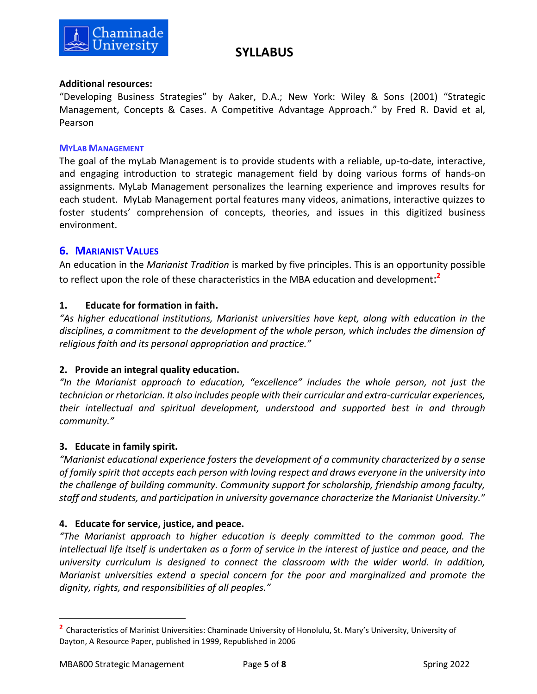

### **Additional resources:**

"Developing Business Strategies" by Aaker, D.A.; New York: Wiley & Sons (2001) "Strategic Management, Concepts & Cases. A Competitive Advantage Approach." by Fred R. David et al, Pearson

#### **MYLAB MANAGEMENT**

The goal of the myLab Management is to provide students with a reliable, up-to-date, interactive, and engaging introduction to strategic management field by doing various forms of hands-on assignments. MyLab Management personalizes the learning experience and improves results for each student. MyLab Management portal features many videos, animations, interactive quizzes to foster students' comprehension of concepts, theories, and issues in this digitized business environment.

### **6. MARIANIST VALUES**

An education in the *Marianist Tradition* is marked by five principles. This is an opportunity possible to reflect upon the role of these characteristics in the MBA education and development: **2**

### **1. Educate for formation in faith.**

*"As higher educational institutions, Marianist universities have kept, along with education in the disciplines, a commitment to the development of the whole person, which includes the dimension of religious faith and its personal appropriation and practice."*

### **2. Provide an integral quality education.**

*"In the Marianist approach to education, "excellence" includes the whole person, not just the technician or rhetorician. It also includes people with their curricular and extra-curricular experiences, their intellectual and spiritual development, understood and supported best in and through community."*

### **3. Educate in family spirit.**

*"Marianist educational experience fosters the development of a community characterized by a sense of family spirit that accepts each person with loving respect and draws everyone in the university into the challenge of building community. Community support for scholarship, friendship among faculty, staff and students, and participation in university governance characterize the Marianist University."*

### **4. Educate for service, justice, and peace.**

*"The Marianist approach to higher education is deeply committed to the common good. The intellectual life itself is undertaken as a form of service in the interest of justice and peace, and the university curriculum is designed to connect the classroom with the wider world. In addition, Marianist universities extend a special concern for the poor and marginalized and promote the dignity, rights, and responsibilities of all peoples."*

**<sup>2</sup>** Characteristics of Marinist Universities: Chaminade University of Honolulu, St. Mary's University, University of Dayton, A Resource Paper, published in 1999, Republished in 2006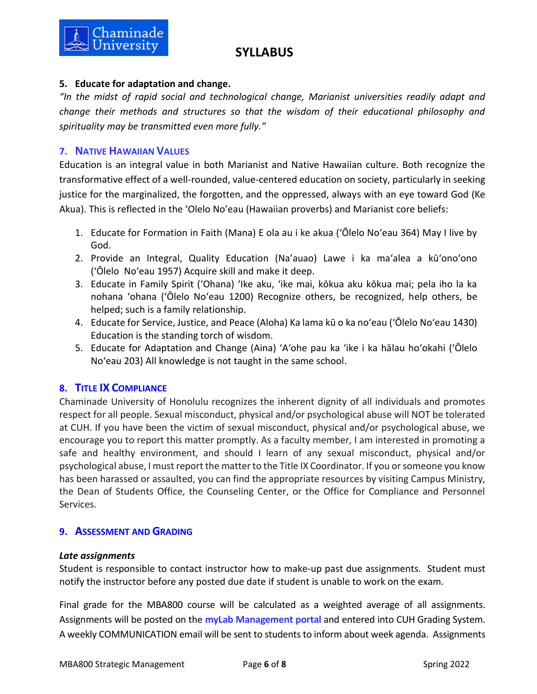



## **5. Educate for adaptation and change.**

*"In the midst of rapid social and technological change, Marianist universities readily adapt and change their methods and structures so that the wisdom of their educational philosophy and spirituality may be transmitted even more fully."*

## **7. NATIVE HAWAIIAN VALUES**

Education is an integral value in both Marianist and Native Hawaiian culture. Both recognize the transformative effect of a well-rounded, value-centered education on society, particularly in seeking justice for the marginalized, the forgotten, and the oppressed, always with an eye toward God (Ke Akua). This is reflected in the 'Olelo No'eau (Hawaiian proverbs) and Marianist core beliefs:

- 1. Educate for Formation in Faith (Mana) E ola au i ke akua (ʻŌlelo Noʻeau 364) May I live by God.
- 2. Provide an Integral, Quality Education (Na'auao) Lawe i ka maʻalea a kūʻonoʻono (ʻŌlelo Noʻeau 1957) Acquire skill and make it deep.
- 3. Educate in Family Spirit ('Ohana) ʻIke aku, ʻike mai, kōkua aku kōkua mai; pela iho la ka nohana ʻohana ('Ōlelo Noʻeau 1200) Recognize others, be recognized, help others, be helped; such is a family relationship.
- 4. Educate for Service, Justice, and Peace (Aloha) Ka lama kū o ka noʻeau (ʻŌlelo Noʻeau 1430) Education is the standing torch of wisdom.
- 5. Educate for Adaptation and Change (Aina) ʻAʻohe pau ka 'ike i ka hālau hoʻokahi (ʻŌlelo Noʻeau 203) All knowledge is not taught in the same school.

# **8. TITLE IX COMPLIANCE**

Chaminade University of Honolulu recognizes the inherent dignity of all individuals and promotes respect for all people. Sexual misconduct, physical and/or psychological abuse will NOT be tolerated at CUH. If you have been the victim of sexual misconduct, physical and/or psychological abuse, we encourage you to report this matter promptly. As a faculty member, I am interested in promoting a safe and healthy environment, and should I learn of any sexual misconduct, physical and/or psychological abuse, I must report the matter to the Title IX Coordinator. If you or someone you know has been harassed or assaulted, you can find the appropriate resources by visiting Campus Ministry, the Dean of Students Office, the Counseling Center, or the Office for Compliance and Personnel Services.

## **9. ASSESSMENT AND GRADING**

### *Late assignments*

Student is responsible to contact instructor how to make-up past due assignments. Student must notify the instructor before any posted due date if student is unable to work on the exam.

Final grade for the MBA800 course will be calculated as a weighted average of all assignments. Assignments will be posted on the **myLab Management portal** and entered into CUH Grading System. A weekly COMMUNICATION email will be sent to students to inform about week agenda. Assignments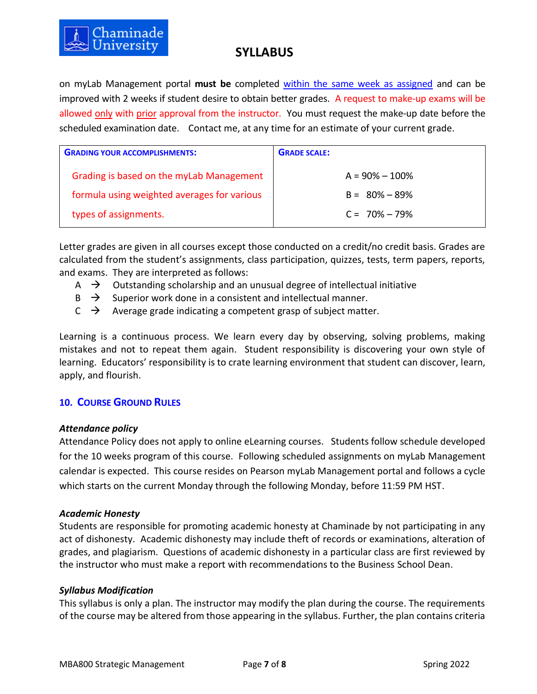

on [myLab Management](http://www.myitlab.com/) portal **must be** completed within the same week as assigned and can be improved with 2 weeks if student desire to obtain better grades. A request to make-up exams will be allowed only with prior approval from the instructor. You must request the make-up date before the scheduled examination date. Contact me, at any time for an estimate of your current grade.

| <b>GRADING YOUR ACCOMPLISHMENTS:</b>        | <b>GRADE SCALE:</b> |
|---------------------------------------------|---------------------|
| Grading is based on the myLab Management    | $A = 90\% - 100\%$  |
| formula using weighted averages for various | $B = 80\% - 89\%$   |
| types of assignments.                       | $C = 70\% - 79\%$   |

Letter grades are given in all courses except those conducted on a credit/no credit basis. Grades are calculated from the student's assignments, class participation, quizzes, tests, term papers, reports, and exams. They are interpreted as follows:

- $\overrightarrow{A}$   $\rightarrow$  Outstanding scholarship and an unusual degree of intellectual initiative
- $\overrightarrow{B}$  Superior work done in a consistent and intellectual manner.
- $C \rightarrow$  Average grade indicating a competent grasp of subject matter.

Learning is a continuous process. We learn every day by observing, solving problems, making mistakes and not to repeat them again. Student responsibility is discovering your own style of learning. Educators' responsibility is to crate learning environment that student can discover, learn, apply, and flourish.

## **10. COURSE GROUND RULES**

#### *Attendance policy*

Attendance Policy does not apply to online eLearning courses. Students follow schedule developed for the 10 weeks program of this course. Following scheduled assignments on myLab Management calendar is expected. This course resides on Pearson myLab Management portal and follows a cycle which starts on the current Monday through the following Monday, before 11:59 PM HST.

### *Academic Honesty*

Students are responsible for promoting academic honesty at Chaminade by not participating in any act of dishonesty. Academic dishonesty may include theft of records or examinations, alteration of grades, and plagiarism. Questions of academic dishonesty in a particular class are first reviewed by the instructor who must make a report with recommendations to the Business School Dean.

### *Syllabus Modification*

This syllabus is only a plan. The instructor may modify the plan during the course. The requirements of the course may be altered from those appearing in the syllabus. Further, the plan contains criteria